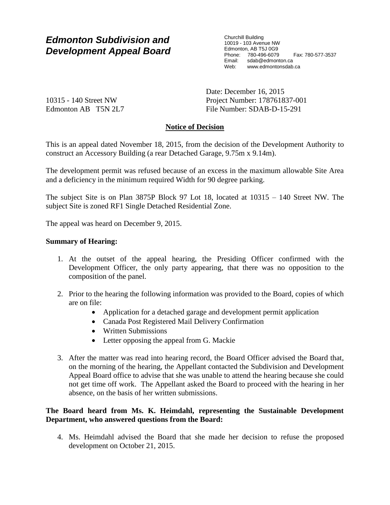# *Edmonton Subdivision and Development Appeal Board*

Churchill Building 10019 - 103 Avenue NW Edmonton, AB T5J 0G9 Phone: 780-496-6079 Fax: 780-577-3537 Email: sdab@edmonton.ca Web: www.edmontonsdab.ca

10315 - 140 Street NW Edmonton AB T5N 2L7 Date: December 16, 2015 Project Number: 178761837-001 File Number: SDAB-D-15-291

## **Notice of Decision**

This is an appeal dated November 18, 2015, from the decision of the Development Authority to construct an Accessory Building (a rear Detached Garage, 9.75m x 9.14m).

The development permit was refused because of an excess in the maximum allowable Site Area and a deficiency in the minimum required Width for 90 degree parking.

The subject Site is on Plan 3875P Block 97 Lot 18, located at 10315 – 140 Street NW. The subject Site is zoned RF1 Single Detached Residential Zone.

The appeal was heard on December 9, 2015.

### **Summary of Hearing:**

- 1. At the outset of the appeal hearing, the Presiding Officer confirmed with the Development Officer, the only party appearing, that there was no opposition to the composition of the panel.
- 2. Prior to the hearing the following information was provided to the Board, copies of which are on file:
	- Application for a detached garage and development permit application
	- Canada Post Registered Mail Delivery Confirmation
	- Written Submissions
	- Letter opposing the appeal from G. Mackie
- 3. After the matter was read into hearing record, the Board Officer advised the Board that, on the morning of the hearing, the Appellant contacted the Subdivision and Development Appeal Board office to advise that she was unable to attend the hearing because she could not get time off work. The Appellant asked the Board to proceed with the hearing in her absence, on the basis of her written submissions.

## **The Board heard from Ms. K. Heimdahl, representing the Sustainable Development Department, who answered questions from the Board:**

4. Ms. Heimdahl advised the Board that she made her decision to refuse the proposed development on October 21, 2015.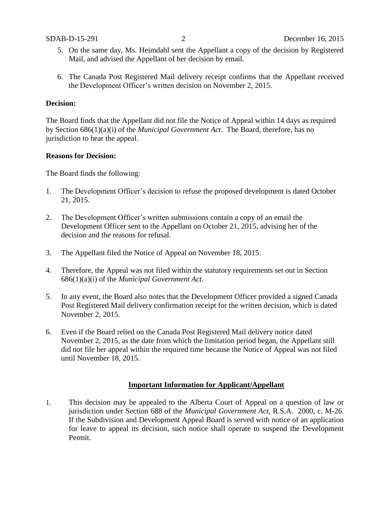- 5. On the same day, Ms. Heimdahl sent the Appellant a copy of the decision by Registered Mail, and advised the Appellant of her decision by email.
- 6. The Canada Post Registered Mail delivery receipt confirms that the Appellant received the Development Officer's written decision on November 2, 2015.

#### **Decision:**

The Board finds that the Appellant did not file the Notice of Appeal within 14 days as required by Section 686(1)(a)(i) of the *Municipal Government Act*. The Board, therefore, has no jurisdiction to hear the appeal.

#### **Reasons for Decision:**

The Board finds the following:

- 1. The Development Officer's decision to refuse the proposed development is dated October 21, 2015.
- 2. The Development Officer's written submissions contain a copy of an email the Development Officer sent to the Appellant on October 21, 2015, advising her of the decision and the reasons for refusal.
- 3. The Appellant filed the Notice of Appeal on November 18, 2015.
- 4. Therefore, the Appeal was not filed within the statutory requirements set out in Section 686(1)(a)(i) of the *Municipal Government Act*.
- 5. In any event, the Board also notes that the Development Officer provided a signed Canada Post Registered Mail delivery confirmation receipt for the written decision, which is dated November 2, 2015.
- 6. Even if the Board relied on the Canada Post Registered Mail delivery notice dated November 2, 2015, as the date from which the limitation period began, the Appellant still did not file her appeal within the required time because the Notice of Appeal was not filed until November 18, 2015.

#### **Important Information for Applicant/Appellant**

1. This decision may be appealed to the Alberta Court of Appeal on a question of law or jurisdiction under Section 688 of the *Municipal Government Act*, R.S.A. 2000, c. M-26. If the Subdivision and Development Appeal Board is served with notice of an application for leave to appeal its decision, such notice shall operate to suspend the Development Permit.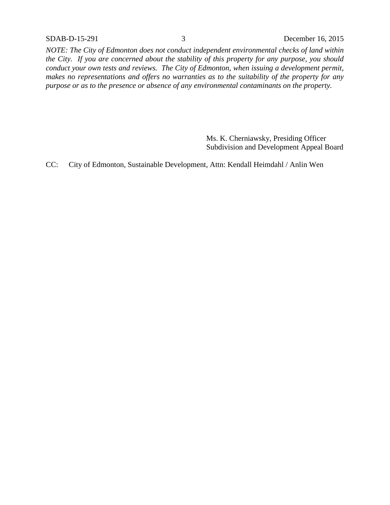*NOTE: The City of Edmonton does not conduct independent environmental checks of land within the City. If you are concerned about the stability of this property for any purpose, you should conduct your own tests and reviews. The City of Edmonton, when issuing a development permit, makes no representations and offers no warranties as to the suitability of the property for any purpose or as to the presence or absence of any environmental contaminants on the property.*

> Ms. K. Cherniawsky, Presiding Officer Subdivision and Development Appeal Board

CC: City of Edmonton, Sustainable Development, Attn: Kendall Heimdahl / Anlin Wen